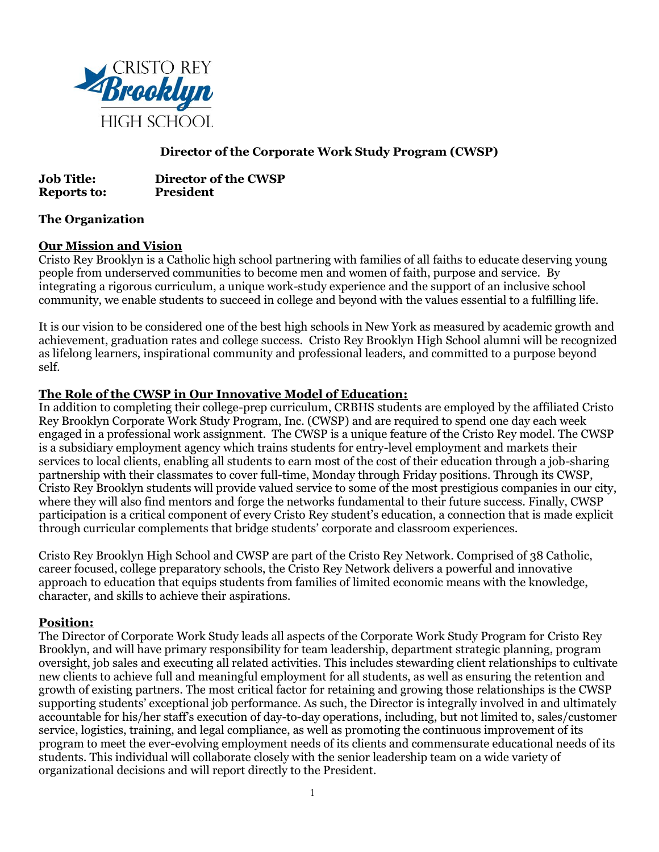

# **Director of the Corporate Work Study Program (CWSP)**

**Job Title: Director of the CWSP Reports to: President**

## **The Organization**

#### **Our Mission and Vision**

Cristo Rey Brooklyn is a Catholic high school partnering with families of all faiths to educate deserving young people from underserved communities to become men and women of faith, purpose and service. By integrating a rigorous curriculum, a unique work-study experience and the support of an inclusive school community, we enable students to succeed in college and beyond with the values essential to a fulfilling life.

It is our vision to be considered one of the best high schools in New York as measured by academic growth and achievement, graduation rates and college success. Cristo Rey Brooklyn High School alumni will be recognized as lifelong learners, inspirational community and professional leaders, and committed to a purpose beyond self.

## **The Role of the CWSP in Our Innovative Model of Education:**

In addition to completing their college-prep curriculum, CRBHS students are employed by the affiliated Cristo Rey Brooklyn Corporate Work Study Program, Inc. (CWSP) and are required to spend one day each week engaged in a professional work assignment. The CWSP is a unique feature of the Cristo Rey model. The CWSP is a subsidiary employment agency which trains students for entry-level employment and markets their services to local clients, enabling all students to earn most of the cost of their education through a job-sharing partnership with their classmates to cover full-time, Monday through Friday positions. Through its CWSP, Cristo Rey Brooklyn students will provide valued service to some of the most prestigious companies in our city, where they will also find mentors and forge the networks fundamental to their future success. Finally, CWSP participation is a critical component of every Cristo Rey student's education, a connection that is made explicit through curricular complements that bridge students' corporate and classroom experiences.

Cristo Rey Brooklyn High School and CWSP are part of the Cristo Rey Network. Comprised of 38 Catholic, career focused, college preparatory schools, the Cristo Rey Network delivers a powerful and innovative approach to education that equips students from families of limited economic means with the knowledge, character, and skills to achieve their aspirations.

#### **Position:**

The Director of Corporate Work Study leads all aspects of the Corporate Work Study Program for Cristo Rey Brooklyn, and will have primary responsibility for team leadership, department strategic planning, program oversight, job sales and executing all related activities. This includes stewarding client relationships to cultivate new clients to achieve full and meaningful employment for all students, as well as ensuring the retention and growth of existing partners. The most critical factor for retaining and growing those relationships is the CWSP supporting students' exceptional job performance. As such, the Director is integrally involved in and ultimately accountable for his/her staff's execution of day-to-day operations, including, but not limited to, sales/customer service, logistics, training, and legal compliance, as well as promoting the continuous improvement of its program to meet the ever-evolving employment needs of its clients and commensurate educational needs of its students. This individual will collaborate closely with the senior leadership team on a wide variety of organizational decisions and will report directly to the President.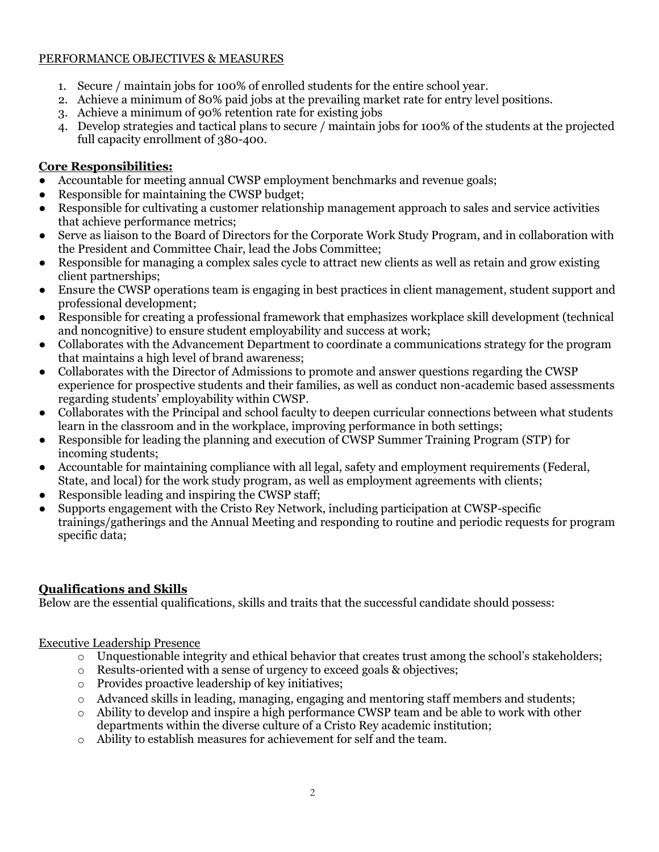# PERFORMANCE OBJECTIVES & MEASURES

- 1. Secure / maintain jobs for 100% of enrolled students for the entire school year.
- 2. Achieve a minimum of 80% paid jobs at the prevailing market rate for entry level positions.
- 3. Achieve a minimum of 90% retention rate for existing jobs
- 4. Develop strategies and tactical plans to secure / maintain jobs for 100% of the students at the projected full capacity enrollment of 380-400.

# **Core Responsibilities:**

- Accountable for meeting annual CWSP employment benchmarks and revenue goals;
- Responsible for maintaining the CWSP budget;
- Responsible for cultivating a customer relationship management approach to sales and service activities that achieve performance metrics;
- Serve as liaison to the Board of Directors for the Corporate Work Study Program, and in collaboration with the President and Committee Chair, lead the Jobs Committee;
- Responsible for managing a complex sales cycle to attract new clients as well as retain and grow existing client partnerships;
- Ensure the CWSP operations team is engaging in best practices in client management, student support and professional development;
- Responsible for creating a professional framework that emphasizes workplace skill development (technical and noncognitive) to ensure student employability and success at work;
- Collaborates with the Advancement Department to coordinate a communications strategy for the program that maintains a high level of brand awareness;
- Collaborates with the Director of Admissions to promote and answer questions regarding the CWSP experience for prospective students and their families, as well as conduct non-academic based assessments regarding students' employability within CWSP.
- Collaborates with the Principal and school faculty to deepen curricular connections between what students learn in the classroom and in the workplace, improving performance in both settings;
- Responsible for leading the planning and execution of CWSP Summer Training Program (STP) for incoming students;
- Accountable for maintaining compliance with all legal, safety and employment requirements (Federal, State, and local) for the work study program, as well as employment agreements with clients;
- Responsible leading and inspiring the CWSP staff;
- Supports engagement with the Cristo Rey Network, including participation at CWSP-specific trainings/gatherings and the Annual Meeting and responding to routine and periodic requests for program specific data;

# **Qualifications and Skills**

Below are the essential qualifications, skills and traits that the successful candidate should possess:

# Executive Leadership Presence

- o Unquestionable integrity and ethical behavior that creates trust among the school's stakeholders;
- o Results-oriented with a sense of urgency to exceed goals & objectives;
- o Provides proactive leadership of key initiatives;
- o Advanced skills in leading, managing, engaging and mentoring staff members and students;
- o Ability to develop and inspire a high performance CWSP team and be able to work with other departments within the diverse culture of a Cristo Rey academic institution;
- o Ability to establish measures for achievement for self and the team.